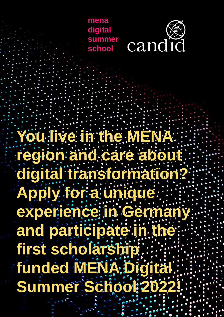



**You live in the MENA region and care about digital transformation? Apply for a unique experience in Germany and participate in the first scholarship funded MENA Digital Summer School 2022!**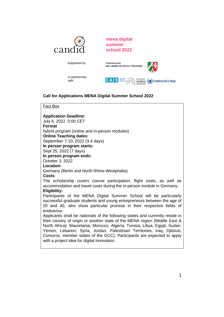

**mena digital summer school 2022**



# **Call for Applications MENA Digital Summer School 2022**

Fact Box

**Application Deadline:**

July 6, 2022. 0:00 CET

with

**Format**

hybrid program (online and in-person modules)

**Online Teaching dates:**

September 7-10, 2022 (3-4 days)

**In person program starts:**

Sept 25, 2022 (7 days)

**In person program ends:**

October 3, 2022

#### **Location:**

Germany (Berlin and North Rhine-Westphalia)

### **Costs**:

The scholarship covers course participation, flight costs, as well as accommodation and travel costs during the in-person module in Germany. **Eligibility:**

Participants of the MENA Digital Summer School will be particularly successful graduate students and young entrepreneurs between the age of 20 and 40, who show particular promise in their respective fields of endeavour.

Applicants shall be nationals of the following states and currently reside in their country of origin or another state of the MENA region (Middle East & North Africa): Mauretania, Morocco, Algeria, Tunisia, Libya, Egypt, Sudan, Yemen, Lebanon, Syria, Jordan, Palestinian Territories, Iraq, Djibouti, Comoros, member states of the GCC). Participants are expected to apply with a project idea for digital innovation.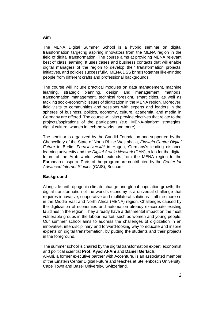## The MENA Digital Summer School is a hybrid seminar on digital transformation targeting aspiring innovators from the MENA region in the field of digital transformation. The course aims at providing MENA relevant best of class learning. It uses cases and business contacts that will enable digital managers of the region to develop their transformation projects, initiatives, and policies successfully. MENA DSS brings together like-minded people from different crafts and professional backgrounds.

The course will include practical modules on data management, machine learning, strategic planning, design and management methods, transformation management, technical foresight, smart cities, as well as tackling socio-economic issues of digitization in the MENA region. Moreover, field visits to communities and sessions with experts and leaders in the spheres of business, politics, economy, culture, academia, and media in Germany are offered. The course will also provide electives that relate to the projects/aspirations of the participants (e.g. MENA-platform strategies, digital culture, women in tech-networks, and more).

The seminar is organized by the Candid Foundation and supported by the Chancellery of the State of North Rhine Westphalia, *Einstein Centre Digital Future* in Berlin, *FernUniversität* in Hagen, Germany's leading distance learning university and the *Digital Arabia Network* (DAN), a lab for the digital future of the Arab world, which extends from the MENA region to the European diaspora. Parts of the program are contributed by the *Center for Advanced Internet Studies* (CAIS), Bochum.

## **Background**

Alongside anthropogenic climate change and global population growth, the digital transformation of the world's economy is a universal challenge that requires innovative, cooperative and multilateral solutions – all the more so in the Middle East and North Africa (MENA) region. Challenges caused by the digitization of economies and automation already exacerbate existing faultlines in the region. They already have a detrimental impact on the most vulnerable groups in the labour market, such as women and young people. Our summer school aims to address the challenges of digitization in an innovative, interdisciplinary and forward-looking way to educate and inspire experts on digital transformation, by putting the students and their projects in the foreground.

The summer school is chaired by the digital transformation expert, economist and political scientist **Prof. Ayad Al-Ani** and **Daniel Gerlach**. Al-Ani, a former executive partner with Accenture, is an associated member of the Einstein Center Digital Future and teaches at Stellenbosch University, Cape Town and Basel University, Switzerland.

### **Aim**